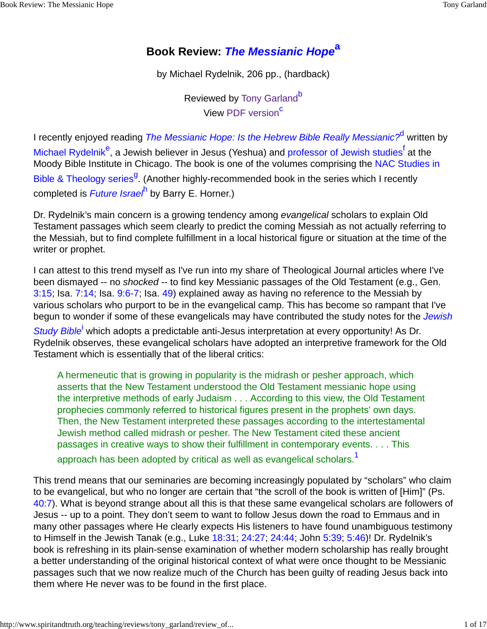## **Book Review: The Messianic Hope<sup>a</sup>**

by Michael Rydelnik, 206 pp., (hardback)

Reviewed by Tony Garland<sup>b</sup> View PDF version<sup>c</sup>

I recently enjoyed reading *The Messianic Hope: Is the Hebrew Bible Really Messianic?<sup>d</sup> written by* Michael Rydelnik<sup>e</sup>, a Jewish believer in Jesus (Yeshua) and professor of Jewish studies<sup>f</sup> at the Moody Bible Institute in Chicago. The book is one of the volumes comprising the NAC Studies in Bible & Theology series<sup>g</sup>. (Another highly-recommended book in the series which I recently completed is *Future Israei*<sup>h</sup> by Barry E. Horner.)

Dr. Rydelnik's main concern is a growing tendency among evangelical scholars to explain Old Testament passages which seem clearly to predict the coming Messiah as not actually referring to the Messiah, but to find complete fulfillment in a local historical figure or situation at the time of the writer or prophet.

I can attest to this trend myself as I've run into my share of Theological Journal articles where I've been dismayed -- no shocked -- to find key Messianic passages of the Old Testament (e.g., Gen. 3:15; Isa. 7:14; Isa. 9:6-7; Isa. 49) explained away as having no reference to the Messiah by various scholars who purport to be in the evangelical camp. This has become so rampant that I've begun to wonder if some of these evangelicals may have contributed the study notes for the *Jewish* 

Study Bible<sup>i</sup> which adopts a predictable anti-Jesus interpretation at every opportunity! As Dr. Rydelnik observes, these evangelical scholars have adopted an interpretive framework for the Old Testament which is essentially that of the liberal critics:

A hermeneutic that is growing in popularity is the midrash or pesher approach, which asserts that the New Testament understood the Old Testament messianic hope using the interpretive methods of early Judaism . . . According to this view, the Old Testament prophecies commonly referred to historical figures present in the prophets' own days. Then, the New Testament interpreted these passages according to the intertestamental Jewish method called midrash or pesher. The New Testament cited these ancient passages in creative ways to show their fulfillment in contemporary events. . . . This approach has been adopted by critical as well as evangelical scholars.<sup>1</sup>

This trend means that our seminaries are becoming increasingly populated by "scholars" who claim to be evangelical, but who no longer are certain that "the scroll of the book is written of [Him]" (Ps. 40:7). What is beyond strange about all this is that these same evangelical scholars are followers of Jesus -- up to a point. They don't seem to want to follow Jesus down the road to Emmaus and in many other passages where He clearly expects His listeners to have found unambiguous testimony to Himself in the Jewish Tanak (e.g., Luke 18:31; 24:27; 24:44; John 5:39; 5:46)! Dr. Rydelnik's book is refreshing in its plain-sense examination of whether modern scholarship has really brought a better understanding of the original historical context of what were once thought to be Messianic passages such that we now realize much of the Church has been guilty of reading Jesus back into them where He never was to be found in the first place.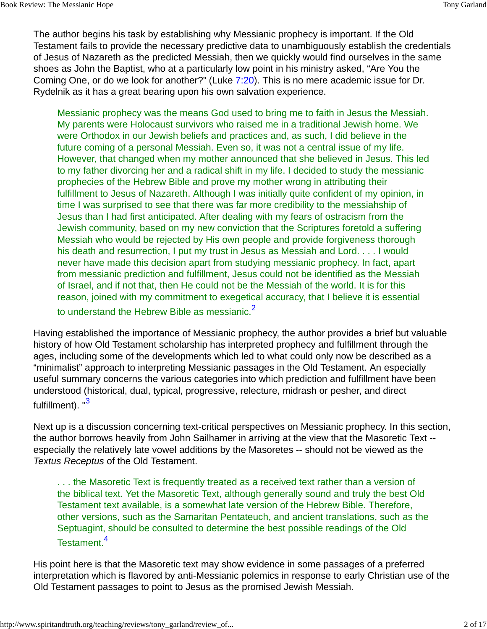The author begins his task by establishing why Messianic prophecy is important. If the Old Testament fails to provide the necessary predictive data to unambiguously establish the credentials of Jesus of Nazareth as the predicted Messiah, then we quickly would find ourselves in the same shoes as John the Baptist, who at a particularly low point in his ministry asked, "Are You the Coming One, or do we look for another?" (Luke 7:20). This is no mere academic issue for Dr. Rydelnik as it has a great bearing upon his own salvation experience.

Messianic prophecy was the means God used to bring me to faith in Jesus the Messiah. My parents were Holocaust survivors who raised me in a traditional Jewish home. We were Orthodox in our Jewish beliefs and practices and, as such, I did believe in the future coming of a personal Messiah. Even so, it was not a central issue of my life. However, that changed when my mother announced that she believed in Jesus. This led to my father divorcing her and a radical shift in my life. I decided to study the messianic prophecies of the Hebrew Bible and prove my mother wrong in attributing their fulfillment to Jesus of Nazareth. Although I was initially quite confident of my opinion, in time I was surprised to see that there was far more credibility to the messiahship of Jesus than I had first anticipated. After dealing with my fears of ostracism from the Jewish community, based on my new conviction that the Scriptures foretold a suffering Messiah who would be rejected by His own people and provide forgiveness thorough his death and resurrection, I put my trust in Jesus as Messiah and Lord. . . . I would never have made this decision apart from studying messianic prophecy. In fact, apart from messianic prediction and fulfillment, Jesus could not be identified as the Messiah of Israel, and if not that, then He could not be the Messiah of the world. It is for this reason, joined with my commitment to exegetical accuracy, that I believe it is essential to understand the Hebrew Bible as messianic.<sup>2</sup>

Having established the importance of Messianic prophecy, the author provides a brief but valuable history of how Old Testament scholarship has interpreted prophecy and fulfillment through the ages, including some of the developments which led to what could only now be described as a "minimalist" approach to interpreting Messianic passages in the Old Testament. An especially useful summary concerns the various categories into which prediction and fulfillment have been understood (historical, dual, typical, progressive, relecture, midrash or pesher, and direct fulfillment). "3

Next up is a discussion concerning text-critical perspectives on Messianic prophecy. In this section, the author borrows heavily from John Sailhamer in arriving at the view that the Masoretic Text - especially the relatively late vowel additions by the Masoretes -- should not be viewed as the Textus Receptus of the Old Testament.

. . . the Masoretic Text is frequently treated as a received text rather than a version of the biblical text. Yet the Masoretic Text, although generally sound and truly the best Old Testament text available, is a somewhat late version of the Hebrew Bible. Therefore, other versions, such as the Samaritan Pentateuch, and ancient translations, such as the Septuagint, should be consulted to determine the best possible readings of the Old Testament.<sup>4</sup>

His point here is that the Masoretic text may show evidence in some passages of a preferred interpretation which is flavored by anti-Messianic polemics in response to early Christian use of the Old Testament passages to point to Jesus as the promised Jewish Messiah.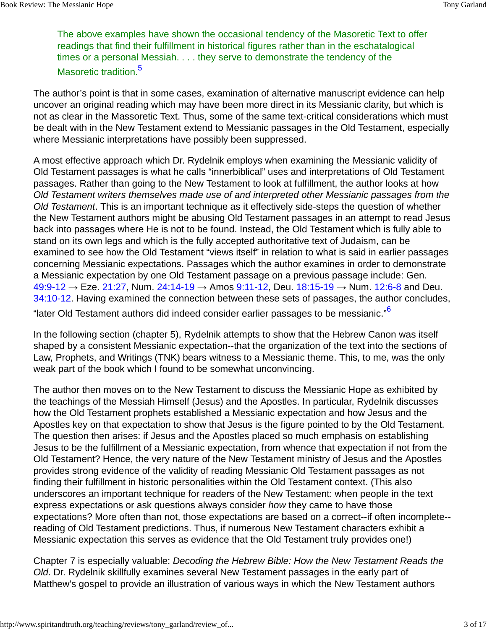The above examples have shown the occasional tendency of the Masoretic Text to offer readings that find their fulfillment in historical figures rather than in the eschatalogical times or a personal Messiah. . . . they serve to demonstrate the tendency of the Masoretic tradition.<sup>5</sup>

The author's point is that in some cases, examination of alternative manuscript evidence can help uncover an original reading which may have been more direct in its Messianic clarity, but which is not as clear in the Massoretic Text. Thus, some of the same text-critical considerations which must be dealt with in the New Testament extend to Messianic passages in the Old Testament, especially where Messianic interpretations have possibly been suppressed.

A most effective approach which Dr. Rydelnik employs when examining the Messianic validity of Old Testament passages is what he calls "innerbiblical" uses and interpretations of Old Testament passages. Rather than going to the New Testament to look at fulfillment, the author looks at how Old Testament writers themselves made use of and interpreted other Messianic passages from the Old Testament. This is an important technique as it effectively side-steps the question of whether the New Testament authors might be abusing Old Testament passages in an attempt to read Jesus back into passages where He is not to be found. Instead, the Old Testament which is fully able to stand on its own legs and which is the fully accepted authoritative text of Judaism, can be examined to see how the Old Testament "views itself" in relation to what is said in earlier passages concerning Messianic expectations. Passages which the author examines in order to demonstrate a Messianic expectation by one Old Testament passage on a previous passage include: Gen.  $49:9-12$  → Eze. 21:27, Num. 24:14-19 → Amos 9:11-12, Deu. 18:15-19 → Num. 12:6-8 and Deu. 34:10-12. Having examined the connection between these sets of passages, the author concludes, "later Old Testament authors did indeed consider earlier passages to be messianic."<sup>6</sup>

In the following section (chapter 5), Rydelnik attempts to show that the Hebrew Canon was itself shaped by a consistent Messianic expectation--that the organization of the text into the sections of Law, Prophets, and Writings (TNK) bears witness to a Messianic theme. This, to me, was the only weak part of the book which I found to be somewhat unconvincing.

The author then moves on to the New Testament to discuss the Messianic Hope as exhibited by the teachings of the Messiah Himself (Jesus) and the Apostles. In particular, Rydelnik discusses how the Old Testament prophets established a Messianic expectation and how Jesus and the Apostles key on that expectation to show that Jesus is the figure pointed to by the Old Testament. The question then arises: if Jesus and the Apostles placed so much emphasis on establishing Jesus to be the fulfillment of a Messianic expectation, from whence that expectation if not from the Old Testament? Hence, the very nature of the New Testament ministry of Jesus and the Apostles provides strong evidence of the validity of reading Messianic Old Testament passages as not finding their fulfillment in historic personalities within the Old Testament context. (This also underscores an important technique for readers of the New Testament: when people in the text express expectations or ask questions always consider how they came to have those expectations? More often than not, those expectations are based on a correct--if often incomplete- reading of Old Testament predictions. Thus, if numerous New Testament characters exhibit a Messianic expectation this serves as evidence that the Old Testament truly provides one!)

Chapter 7 is especially valuable: Decoding the Hebrew Bible: How the New Testament Reads the Old. Dr. Rydelnik skillfully examines several New Testament passages in the early part of Matthew's gospel to provide an illustration of various ways in which the New Testament authors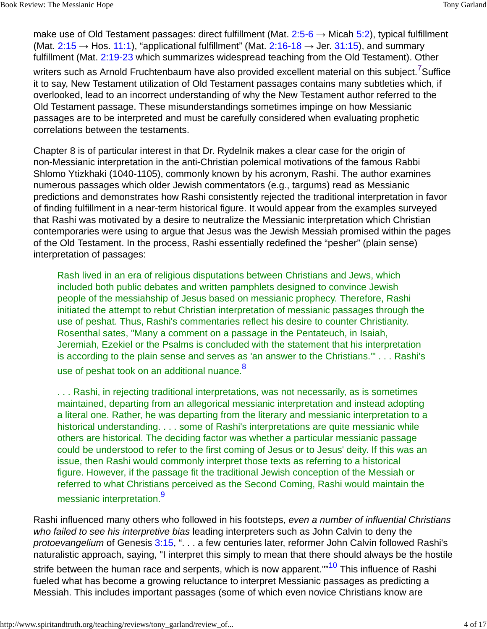make use of Old Testament passages: direct fulfillment (Mat.  $2:5-6 \rightarrow$  Micah 5:2), typical fulfillment (Mat.  $2:15 \rightarrow$  Hos. 11:1), "applicational fulfillment" (Mat. 2:16-18  $\rightarrow$  Jer. 31:15), and summary fulfillment (Mat. 2:19-23 which summarizes widespread teaching from the Old Testament). Other

writers such as Arnold Fruchtenbaum have also provided excellent material on this subject.<sup>7</sup>Suffice it to say, New Testament utilization of Old Testament passages contains many subtleties which, if overlooked, lead to an incorrect understanding of why the New Testament author referred to the Old Testament passage. These misunderstandings sometimes impinge on how Messianic passages are to be interpreted and must be carefully considered when evaluating prophetic correlations between the testaments.

Chapter 8 is of particular interest in that Dr. Rydelnik makes a clear case for the origin of non-Messianic interpretation in the anti-Christian polemical motivations of the famous Rabbi Shlomo Ytizkhaki (1040-1105), commonly known by his acronym, Rashi. The author examines numerous passages which older Jewish commentators (e.g., targums) read as Messianic predictions and demonstrates how Rashi consistently rejected the traditional interpretation in favor of finding fulfillment in a near-term historical figure. It would appear from the examples surveyed that Rashi was motivated by a desire to neutralize the Messianic interpretation which Christian contemporaries were using to argue that Jesus was the Jewish Messiah promised within the pages of the Old Testament. In the process, Rashi essentially redefined the "pesher" (plain sense) interpretation of passages:

Rash lived in an era of religious disputations between Christians and Jews, which included both public debates and written pamphlets designed to convince Jewish people of the messiahship of Jesus based on messianic prophecy. Therefore, Rashi initiated the attempt to rebut Christian interpretation of messianic passages through the use of peshat. Thus, Rashi's commentaries reflect his desire to counter Christianity. Rosenthal sates, "Many a comment on a passage in the Pentateuch, in Isaiah, Jeremiah, Ezekiel or the Psalms is concluded with the statement that his interpretation is according to the plain sense and serves as 'an answer to the Christians.'" . . . Rashi's use of peshat took on an additional nuance.<sup>8</sup>

. . . Rashi, in rejecting traditional interpretations, was not necessarily, as is sometimes maintained, departing from an allegorical messianic interpretation and instead adopting a literal one. Rather, he was departing from the literary and messianic interpretation to a historical understanding. . . . some of Rashi's interpretations are quite messianic while others are historical. The deciding factor was whether a particular messianic passage could be understood to refer to the first coming of Jesus or to Jesus' deity. If this was an issue, then Rashi would commonly interpret those texts as referring to a historical figure. However, if the passage fit the traditional Jewish conception of the Messiah or referred to what Christians perceived as the Second Coming, Rashi would maintain the messianic interpretation.<sup>9</sup>

Rashi influenced many others who followed in his footsteps, even a number of influential Christians who failed to see his interpretive bias leading interpreters such as John Calvin to deny the protoevangelium of Genesis 3:15, ". . . a few centuries later, reformer John Calvin followed Rashi's naturalistic approach, saying, "I interpret this simply to mean that there should always be the hostile strife between the human race and serpents, which is now apparent.""<sup>10</sup> This influence of Rashi fueled what has become a growing reluctance to interpret Messianic passages as predicting a Messiah. This includes important passages (some of which even novice Christians know are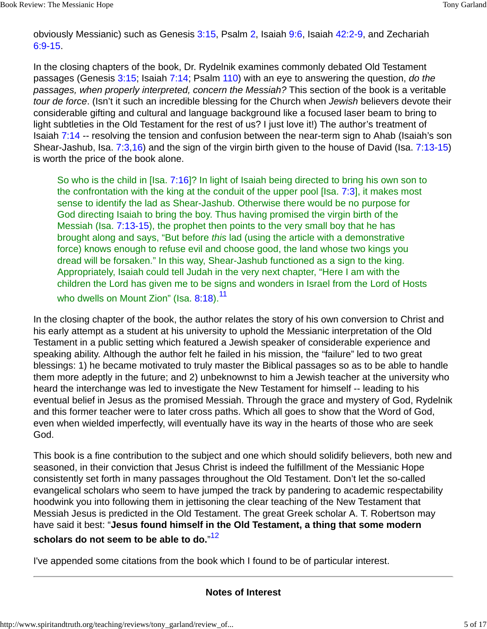obviously Messianic) such as Genesis 3:15, Psalm 2, Isaiah 9:6, Isaiah 42:2-9, and Zechariah 6:9-15.

In the closing chapters of the book, Dr. Rydelnik examines commonly debated Old Testament passages (Genesis 3:15; Isaiah 7:14; Psalm 110) with an eye to answering the question, do the passages, when properly interpreted, concern the Messiah? This section of the book is a veritable tour de force. (Isn't it such an incredible blessing for the Church when Jewish believers devote their considerable gifting and cultural and language background like a focused laser beam to bring to light subtleties in the Old Testament for the rest of us? I just love it!) The author's treatment of Isaiah 7:14 -- resolving the tension and confusion between the near-term sign to Ahab (Isaiah's son Shear-Jashub, Isa. 7:3,16) and the sign of the virgin birth given to the house of David (Isa. 7:13-15) is worth the price of the book alone.

So who is the child in [Isa. 7:16]? In light of Isaiah being directed to bring his own son to the confrontation with the king at the conduit of the upper pool [Isa. 7:3], it makes most sense to identify the lad as Shear-Jashub. Otherwise there would be no purpose for God directing Isaiah to bring the boy. Thus having promised the virgin birth of the Messiah (Isa. 7:13-15), the prophet then points to the very small boy that he has brought along and says, "But before this lad (using the article with a demonstrative force) knows enough to refuse evil and choose good, the land whose two kings you dread will be forsaken." In this way, Shear-Jashub functioned as a sign to the king. Appropriately, Isaiah could tell Judah in the very next chapter, "Here I am with the children the Lord has given me to be signs and wonders in Israel from the Lord of Hosts who dwells on Mount Zion" (Isa. 8:18).<sup>11</sup>

In the closing chapter of the book, the author relates the story of his own conversion to Christ and his early attempt as a student at his university to uphold the Messianic interpretation of the Old Testament in a public setting which featured a Jewish speaker of considerable experience and speaking ability. Although the author felt he failed in his mission, the "failure" led to two great blessings: 1) he became motivated to truly master the Biblical passages so as to be able to handle them more adeptly in the future; and 2) unbeknownst to him a Jewish teacher at the university who heard the interchange was led to investigate the New Testament for himself -- leading to his eventual belief in Jesus as the promised Messiah. Through the grace and mystery of God, Rydelnik and this former teacher were to later cross paths. Which all goes to show that the Word of God, even when wielded imperfectly, will eventually have its way in the hearts of those who are seek God.

This book is a fine contribution to the subject and one which should solidify believers, both new and seasoned, in their conviction that Jesus Christ is indeed the fulfillment of the Messianic Hope consistently set forth in many passages throughout the Old Testament. Don't let the so-called evangelical scholars who seem to have jumped the track by pandering to academic respectability hoodwink you into following them in jettisoning the clear teaching of the New Testament that Messiah Jesus is predicted in the Old Testament. The great Greek scholar A. T. Robertson may have said it best: "**Jesus found himself in the Old Testament, a thing that some modern scholars do not seem to be able to do.**" 12

I've appended some citations from the book which I found to be of particular interest.

## **Notes of Interest**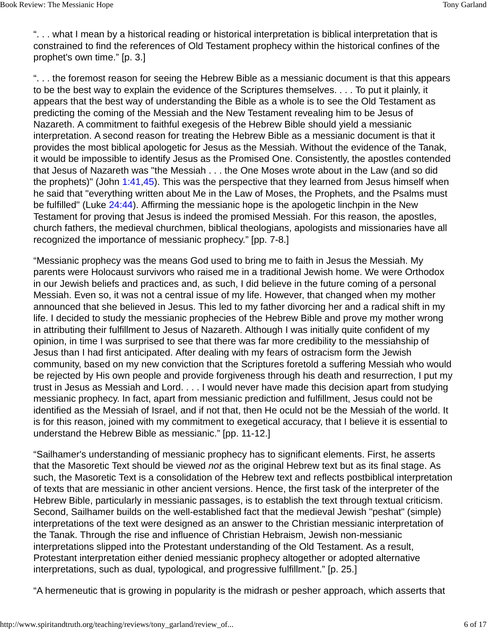". . . what I mean by a historical reading or historical interpretation is biblical interpretation that is constrained to find the references of Old Testament prophecy within the historical confines of the prophet's own time." [p. 3.]

". . . the foremost reason for seeing the Hebrew Bible as a messianic document is that this appears to be the best way to explain the evidence of the Scriptures themselves. . . . To put it plainly, it appears that the best way of understanding the Bible as a whole is to see the Old Testament as predicting the coming of the Messiah and the New Testament revealing him to be Jesus of Nazareth. A commitment to faithful exegesis of the Hebrew Bible should yield a messianic interpretation. A second reason for treating the Hebrew Bible as a messianic document is that it provides the most biblical apologetic for Jesus as the Messiah. Without the evidence of the Tanak, it would be impossible to identify Jesus as the Promised One. Consistently, the apostles contended that Jesus of Nazareth was "the Messiah . . . the One Moses wrote about in the Law (and so did the prophets)" (John 1:41,45). This was the perspective that they learned from Jesus himself when he said that "everything written about Me in the Law of Moses, the Prophets, and the Psalms must be fulfilled" (Luke 24:44). Affirming the messianic hope is the apologetic linchpin in the New Testament for proving that Jesus is indeed the promised Messiah. For this reason, the apostles, church fathers, the medieval churchmen, biblical theologians, apologists and missionaries have all recognized the importance of messianic prophecy." [pp. 7-8.]

"Messianic prophecy was the means God used to bring me to faith in Jesus the Messiah. My parents were Holocaust survivors who raised me in a traditional Jewish home. We were Orthodox in our Jewish beliefs and practices and, as such, I did believe in the future coming of a personal Messiah. Even so, it was not a central issue of my life. However, that changed when my mother announced that she believed in Jesus. This led to my father divorcing her and a radical shift in my life. I decided to study the messianic prophecies of the Hebrew Bible and prove my mother wrong in attributing their fulfillment to Jesus of Nazareth. Although I was initially quite confident of my opinion, in time I was surprised to see that there was far more credibility to the messiahship of Jesus than I had first anticipated. After dealing with my fears of ostracism form the Jewish community, based on my new conviction that the Scriptures foretold a suffering Messiah who would be rejected by His own people and provide forgiveness through his death and resurrection, I put my trust in Jesus as Messiah and Lord. . . . I would never have made this decision apart from studying messianic prophecy. In fact, apart from messianic prediction and fulfillment, Jesus could not be identified as the Messiah of Israel, and if not that, then He oculd not be the Messiah of the world. It is for this reason, joined with my commitment to exegetical accuracy, that I believe it is essential to understand the Hebrew Bible as messianic." [pp. 11-12.]

"Sailhamer's understanding of messianic prophecy has to significant elements. First, he asserts that the Masoretic Text should be viewed not as the original Hebrew text but as its final stage. As such, the Masoretic Text is a consolidation of the Hebrew text and reflects postbiblical interpretation of texts that are messianic in other ancient versions. Hence, the first task of the interpreter of the Hebrew Bible, particularly in messianic passages, is to establish the text through textual criticism. Second, Sailhamer builds on the well-established fact that the medieval Jewish "peshat" (simple) interpretations of the text were designed as an answer to the Christian messianic interpretation of the Tanak. Through the rise and influence of Christian Hebraism, Jewish non-messianic interpretations slipped into the Protestant understanding of the Old Testament. As a result, Protestant interpretation either denied messianic prophecy altogether or adopted alternative interpretations, such as dual, typological, and progressive fulfillment." [p. 25.]

"A hermeneutic that is growing in popularity is the midrash or pesher approach, which asserts that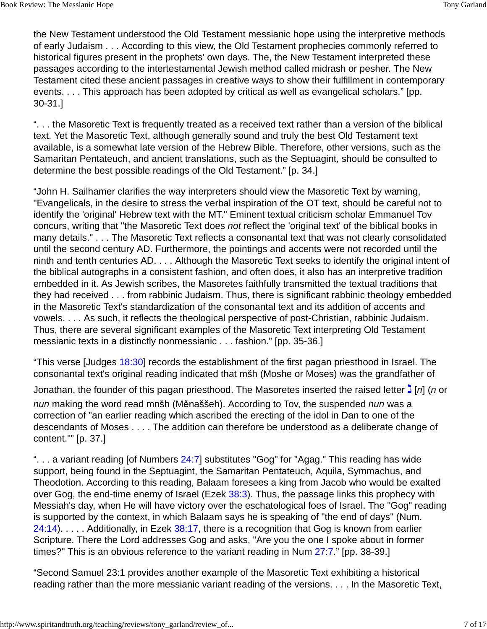the New Testament understood the Old Testament messianic hope using the interpretive methods of early Judaism . . . According to this view, the Old Testament prophecies commonly referred to historical figures present in the prophets' own days. The, the New Testament interpreted these passages according to the intertestamental Jewish method called midrash or pesher. The New Testament cited these ancient passages in creative ways to show their fulfillment in contemporary events. . . . This approach has been adopted by critical as well as evangelical scholars." [pp. 30-31.]

". . . the Masoretic Text is frequently treated as a received text rather than a version of the biblical text. Yet the Masoretic Text, although generally sound and truly the best Old Testament text available, is a somewhat late version of the Hebrew Bible. Therefore, other versions, such as the Samaritan Pentateuch, and ancient translations, such as the Septuagint, should be consulted to determine the best possible readings of the Old Testament." [p. 34.]

"John H. Sailhamer clarifies the way interpreters should view the Masoretic Text by warning, "Evangelicals, in the desire to stress the verbal inspiration of the OT text, should be careful not to identify the 'original' Hebrew text with the MT." Eminent textual criticism scholar Emmanuel Tov concurs, writing that "the Masoretic Text does not reflect the 'original text' of the biblical books in many details." . . . The Masoretic Text reflects a consonantal text that was not clearly consolidated until the second century AD. Furthermore, the pointings and accents were not recorded until the ninth and tenth centuries AD. . . . Although the Masoretic Text seeks to identify the original intent of the biblical autographs in a consistent fashion, and often does, it also has an interpretive tradition embedded in it. As Jewish scribes, the Masoretes faithfully transmitted the textual traditions that they had received . . . from rabbinic Judaism. Thus, there is significant rabbinic theology embedded in the Masoretic Text's standardization of the consonantal text and its addition of accents and vowels. . . . As such, it reflects the theological perspective of post-Christian, rabbinic Judaism. Thus, there are several significant examples of the Masoretic Text interpreting Old Testament messianic texts in a distinctly nonmessianic . . . fashion." [pp. 35-36.]

"This verse [Judges 18:30] records the establishment of the first pagan priesthood in Israel. The consonantal text's original reading indicated that mšh (Moshe or Moses) was the grandfather of

Jonathan, the founder of this pagan priesthood. The Masoretes inserted the raised letter  $\mathbf{I}[n]$  (*n* or

nun making the word read mnšh (Měnaššeh). According to Tov, the suspended nun was a correction of "an earlier reading which ascribed the erecting of the idol in Dan to one of the descendants of Moses . . . . The addition can therefore be understood as a deliberate change of content."" [p. 37.]

"... a variant reading [of Numbers 24:7] substitutes "Gog" for "Agag." This reading has wide support, being found in the Septuagint, the Samaritan Pentateuch, Aquila, Symmachus, and Theodotion. According to this reading, Balaam foresees a king from Jacob who would be exalted over Gog, the end-time enemy of Israel (Ezek 38:3). Thus, the passage links this prophecy with Messiah's day, when He will have victory over the eschatological foes of Israel. The "Gog" reading is supported by the context, in which Balaam says he is speaking of "the end of days" (Num.  $24:14$ ). . . . . Additionally, in Ezek 38:17, there is a recognition that Gog is known from earlier Scripture. There the Lord addresses Gog and asks, "Are you the one I spoke about in former times?" This is an obvious reference to the variant reading in Num 27:7." [pp. 38-39.]

"Second Samuel 23:1 provides another example of the Masoretic Text exhibiting a historical reading rather than the more messianic variant reading of the versions. . . . In the Masoretic Text,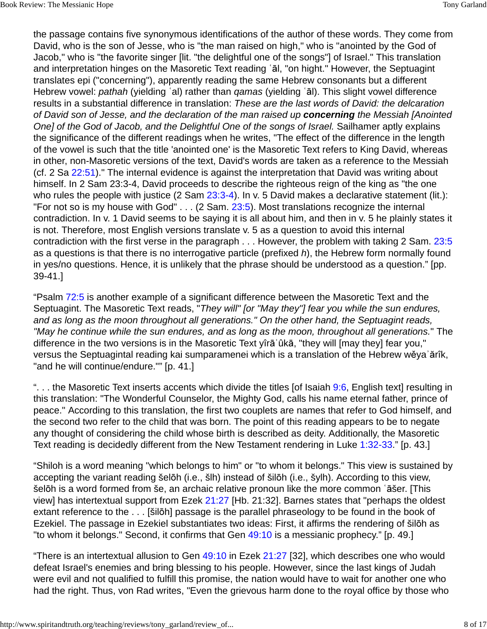the passage contains five synonymous identifications of the author of these words. They come from David, who is the son of Jesse, who is "the man raised on high," who is "anointed by the God of Jacob," who is "the favorite singer [lit. "the delightful one of the songs"] of Israel." This translation and interpretation hinges on the Masoretic Text reading ʿāl, "on hight." However, the Septuagint translates epi ("concerning"), apparently reading the same Hebrew consonants but a different Hebrew vowel: pathah (yielding 'al) rather than *gamas* (yielding 'al). This slight vowel difference results in a substantial difference in translation: These are the last words of David: the delcaration of David son of Jesse, and the declaration of the man raised up **concerning** the Messiah [Anointed One] of the God of Jacob, and the Delightful One of the songs of Israel. Sailhamer aptly explains the significance of the different readings when he writes, "The effect of the difference in the length of the vowel is such that the title 'anointed one' is the Masoretic Text refers to King David, whereas in other, non-Masoretic versions of the text, David's words are taken as a reference to the Messiah (cf. 2 Sa 22:51)." The internal evidence is against the interpretation that David was writing about himself. In 2 Sam 23:3-4, David proceeds to describe the righteous reign of the king as "the one who rules the people with justice (2 Sam 23:3-4). In v. 5 David makes a declarative statement (lit.): "For not so is my house with God" . . . (2 Sam. 23:5). Most translations recognize the internal contradiction. In v. 1 David seems to be saying it is all about him, and then in v. 5 he plainly states it is not. Therefore, most English versions translate v. 5 as a question to avoid this internal contradiction with the first verse in the paragraph . . . However, the problem with taking 2 Sam. 23:5 as a questions is that there is no interrogative particle (prefixed  $h$ ), the Hebrew form normally found in yes/no questions. Hence, it is unlikely that the phrase should be understood as a question." [pp. 39-41.]

"Psalm 72:5 is another example of a significant difference between the Masoretic Text and the Septuagint. The Masoretic Text reads, "They will" [or "May they"] fear you while the sun endures, and as long as the moon throughout all generations." On the other hand, the Septuagint reads, "May he continue while the sun endures, and as long as the moon, throughout all generations." The difference in the two versions is in the Masoretic Text yîrāʾûkā, "they will [may they] fear you," versus the Septuagintal reading kai sumparamenei which is a translation of the Hebrew wěyaʾărîk, "and he will continue/endure."" [p. 41.]

"... the Masoretic Text inserts accents which divide the titles [of Isaiah 9:6, English text] resulting in this translation: "The Wonderful Counselor, the Mighty God, calls his name eternal father, prince of peace." According to this translation, the first two couplets are names that refer to God himself, and the second two refer to the child that was born. The point of this reading appears to be to negate any thought of considering the child whose birth is described as deity. Additionally, the Masoretic Text reading is decidedly different from the New Testament rendering in Luke 1:32-33." [p. 43.]

"Shiloh is a word meaning "which belongs to him" or "to whom it belongs." This view is sustained by accepting the variant reading šelōh (i.e., šlh) instead of šilōh (i.e., šylh). According to this view, šelōh is a word formed from še, an archaic relative pronoun like the more common ʿāšer. [This view] has intertextual support from Ezek 21:27 [Hb. 21:32]. Barnes states that "perhaps the oldest extant reference to the . . . [šilōh] passage is the parallel phraseology to be found in the book of Ezekiel. The passage in Ezekiel substantiates two ideas: First, it affirms the rendering of šilōh as "to whom it belongs." Second, it confirms that Gen 49:10 is a messianic prophecy." [p. 49.]

"There is an intertextual allusion to Gen 49:10 in Ezek 21:27 [32], which describes one who would defeat Israel's enemies and bring blessing to his people. However, since the last kings of Judah were evil and not qualified to fulfill this promise, the nation would have to wait for another one who had the right. Thus, von Rad writes, "Even the grievous harm done to the royal office by those who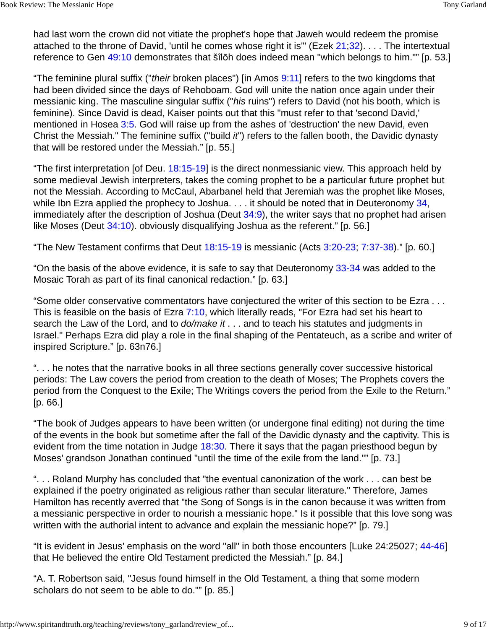had last worn the crown did not vitiate the prophet's hope that Jaweh would redeem the promise attached to the throne of David, 'until he comes whose right it is'" (Ezek 21;32). . . . The intertextual reference to Gen 49:10 demonstrates that šîlōh does indeed mean "which belongs to him."" [p. 53.]

"The feminine plural suffix ("*their* broken places") [in Amos 9:11] refers to the two kingdoms that had been divided since the days of Rehoboam. God will unite the nation once again under their messianic king. The masculine singular suffix ("his ruins") refers to David (not his booth, which is feminine). Since David is dead, Kaiser points out that this "must refer to that 'second David,' mentioned in Hosea 3:5. God will raise up from the ashes of 'destruction' the new David, even Christ the Messiah." The feminine suffix ("build it") refers to the fallen booth, the Davidic dynasty that will be restored under the Messiah." [p. 55.]

"The first interpretation [of Deu. 18:15-19] is the direct nonmessianic view. This approach held by some medieval Jewish interpreters, takes the coming prophet to be a particular future prophet but not the Messiah. According to McCaul, Abarbanel held that Jeremiah was the prophet like Moses, while Ibn Ezra applied the prophecy to Joshua. . . . it should be noted that in Deuteronomy 34, immediately after the description of Joshua (Deut 34:9), the writer says that no prophet had arisen like Moses (Deut 34:10). obviously disqualifying Joshua as the referent." [p. 56.]

"The New Testament confirms that Deut 18:15-19 is messianic (Acts 3:20-23; 7:37-38)." [p. 60.]

"On the basis of the above evidence, it is safe to say that Deuteronomy 33-34 was added to the Mosaic Torah as part of its final canonical redaction." [p. 63.]

"Some older conservative commentators have conjectured the writer of this section to be Ezra . . . This is feasible on the basis of Ezra 7:10, which literally reads, "For Ezra had set his heart to search the Law of the Lord, and to *do/make it* . . . and to teach his statutes and judgments in Israel." Perhaps Ezra did play a role in the final shaping of the Pentateuch, as a scribe and writer of inspired Scripture." [p. 63n76.]

". . . he notes that the narrative books in all three sections generally cover successive historical periods: The Law covers the period from creation to the death of Moses; The Prophets covers the period from the Conquest to the Exile; The Writings covers the period from the Exile to the Return." [p. 66.]

"The book of Judges appears to have been written (or undergone final editing) not during the time of the events in the book but sometime after the fall of the Davidic dynasty and the captivity. This is evident from the time notation in Judge 18:30. There it says that the pagan priesthood begun by Moses' grandson Jonathan continued "until the time of the exile from the land."" [p. 73.]

". . . Roland Murphy has concluded that "the eventual canonization of the work . . . can best be explained if the poetry originated as religious rather than secular literature." Therefore, James Hamilton has recently averred that "the Song of Songs is in the canon because it was written from a messianic perspective in order to nourish a messianic hope." Is it possible that this love song was written with the authorial intent to advance and explain the messianic hope?" [p. 79.]

"It is evident in Jesus' emphasis on the word "all" in both those encounters [Luke 24:25027; 44-46] that He believed the entire Old Testament predicted the Messiah." [p. 84.]

"A. T. Robertson said, "Jesus found himself in the Old Testament, a thing that some modern scholars do not seem to be able to do."" [p. 85.]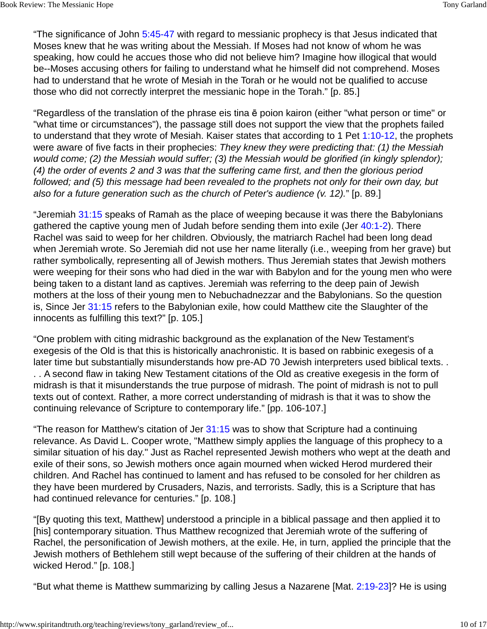"The significance of John 5:45-47 with regard to messianic prophecy is that Jesus indicated that Moses knew that he was writing about the Messiah. If Moses had not know of whom he was speaking, how could he accues those who did not believe him? Imagine how illogical that would be--Moses accusing others for failing to understand what he himself did not comprehend. Moses had to understand that he wrote of Mesiah in the Torah or he would not be qualified to accuse those who did not correctly interpret the messianic hope in the Torah." [p. 85.]

"Regardless of the translation of the phrase eis tina ē poion kairon (either "what person or time" or "what time or circumstances"), the passage still does not support the view that the prophets failed to understand that they wrote of Mesiah. Kaiser states that according to 1 Pet 1:10-12, the prophets were aware of five facts in their prophecies: They knew they were predicting that: (1) the Messiah would come; (2) the Messiah would suffer; (3) the Messiah would be glorified (in kingly splendor); (4) the order of events 2 and 3 was that the suffering came first, and then the glorious period followed; and (5) this message had been revealed to the prophets not only for their own day, but also for a future generation such as the church of Peter's audience (v. 12)." [p. 89.]

"Jeremiah 31:15 speaks of Ramah as the place of weeping because it was there the Babylonians gathered the captive young men of Judah before sending them into exile (Jer 40:1-2). There Rachel was said to weep for her children. Obviously, the matriarch Rachel had been long dead when Jeremiah wrote. So Jeremiah did not use her name literally (i.e., weeping from her grave) but rather symbolically, representing all of Jewish mothers. Thus Jeremiah states that Jewish mothers were weeping for their sons who had died in the war with Babylon and for the young men who were being taken to a distant land as captives. Jeremiah was referring to the deep pain of Jewish mothers at the loss of their young men to Nebuchadnezzar and the Babylonians. So the question is, Since Jer 31:15 refers to the Babylonian exile, how could Matthew cite the Slaughter of the innocents as fulfilling this text?" [p. 105.]

"One problem with citing midrashic background as the explanation of the New Testament's exegesis of the Old is that this is historically anachronistic. It is based on rabbinic exegesis of a later time but substantially misunderstands how pre-AD 70 Jewish interpreters used biblical texts. . . . A second flaw in taking New Testament citations of the Old as creative exegesis in the form of midrash is that it misunderstands the true purpose of midrash. The point of midrash is not to pull texts out of context. Rather, a more correct understanding of midrash is that it was to show the continuing relevance of Scripture to contemporary life." [pp. 106-107.]

"The reason for Matthew's citation of Jer 31:15 was to show that Scripture had a continuing relevance. As David L. Cooper wrote, "Matthew simply applies the language of this prophecy to a similar situation of his day." Just as Rachel represented Jewish mothers who wept at the death and exile of their sons, so Jewish mothers once again mourned when wicked Herod murdered their children. And Rachel has continued to lament and has refused to be consoled for her children as they have been murdered by Crusaders, Nazis, and terrorists. Sadly, this is a Scripture that has had continued relevance for centuries." [p. 108.]

"[By quoting this text, Matthew] understood a principle in a biblical passage and then applied it to [his] contemporary situation. Thus Matthew recognized that Jeremiah wrote of the suffering of Rachel, the personification of Jewish mothers, at the exile. He, in turn, applied the principle that the Jewish mothers of Bethlehem still wept because of the suffering of their children at the hands of wicked Herod." [p. 108.]

"But what theme is Matthew summarizing by calling Jesus a Nazarene [Mat. 2:19-23]? He is using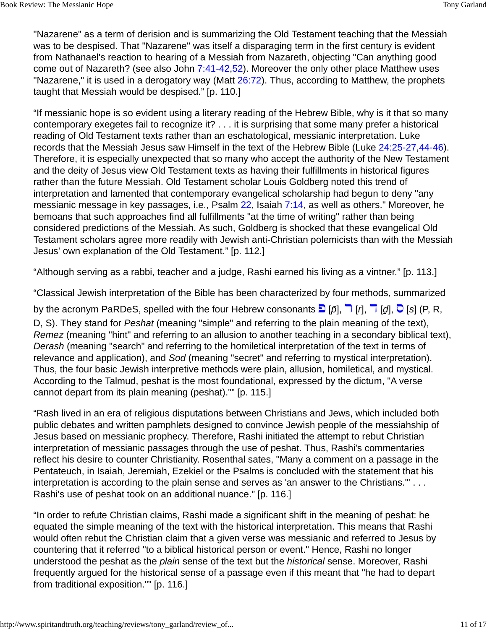"Nazarene" as a term of derision and is summarizing the Old Testament teaching that the Messiah was to be despised. That "Nazarene" was itself a disparaging term in the first century is evident from Nathanael's reaction to hearing of a Messiah from Nazareth, objecting "Can anything good come out of Nazareth? (see also John 7:41-42,52). Moreover the only other place Matthew uses "Nazarene," it is used in a derogatory way (Matt 26:72). Thus, according to Matthew, the prophets taught that Messiah would be despised." [p. 110.]

"If messianic hope is so evident using a literary reading of the Hebrew Bible, why is it that so many contemporary exegetes fail to recognize it? . . . it is surprising that some many prefer a historical reading of Old Testament texts rather than an eschatological, messianic interpretation. Luke records that the Messiah Jesus saw Himself in the text of the Hebrew Bible (Luke 24:25-27,44-46). Therefore, it is especially unexpected that so many who accept the authority of the New Testament and the deity of Jesus view Old Testament texts as having their fulfillments in historical figures rather than the future Messiah. Old Testament scholar Louis Goldberg noted this trend of interpretation and lamented that contemporary evangelical scholarship had begun to deny "any messianic message in key passages, i.e., Psalm 22, Isaiah 7:14, as well as others." Moreover, he bemoans that such approaches find all fulfillments "at the time of writing" rather than being considered predictions of the Messiah. As such, Goldberg is shocked that these evangelical Old Testament scholars agree more readily with Jewish anti-Christian polemicists than with the Messiah Jesus' own explanation of the Old Testament." [p. 112.]

"Although serving as a rabbi, teacher and a judge, Rashi earned his living as a vintner." [p. 113.]

"Classical Jewish interpretation of the Bible has been characterized by four methods, summarized

by the acronym PaRDeS, spelled with the four Hebrew consonants  $\Box$  [ $\bar{p}$ ],  $\Box$  [ $\bar{q}$ ],  $\Box$  [ $\bar{q}$ ],  $\Box$  [s] (P, R, D, S). They stand for *Peshat* (meaning "simple" and referring to the plain meaning of the text), Remez (meaning "hint" and referring to an allusion to another teaching in a secondary biblical text), Derash (meaning "search" and referring to the homiletical interpretation of the text in terms of relevance and application), and Sod (meaning "secret" and referring to mystical interpretation). Thus, the four basic Jewish interpretive methods were plain, allusion, homiletical, and mystical. According to the Talmud, peshat is the most foundational, expressed by the dictum, "A verse cannot depart from its plain meaning (peshat)."" [p. 115.]

"Rash lived in an era of religious disputations between Christians and Jews, which included both public debates and written pamphlets designed to convince Jewish people of the messiahship of Jesus based on messianic prophecy. Therefore, Rashi initiated the attempt to rebut Christian interpretation of messianic passages through the use of peshat. Thus, Rashi's commentaries reflect his desire to counter Christianity. Rosenthal sates, "Many a comment on a passage in the Pentateuch, in Isaiah, Jeremiah, Ezekiel or the Psalms is concluded with the statement that his interpretation is according to the plain sense and serves as 'an answer to the Christians.'" . . . Rashi's use of peshat took on an additional nuance." [p. 116.]

"In order to refute Christian claims, Rashi made a significant shift in the meaning of peshat: he equated the simple meaning of the text with the historical interpretation. This means that Rashi would often rebut the Christian claim that a given verse was messianic and referred to Jesus by countering that it referred "to a biblical historical person or event." Hence, Rashi no longer understood the peshat as the *plain* sense of the text but the *historical* sense. Moreover, Rashi frequently argued for the historical sense of a passage even if this meant that "he had to depart from traditional exposition."" [p. 116.]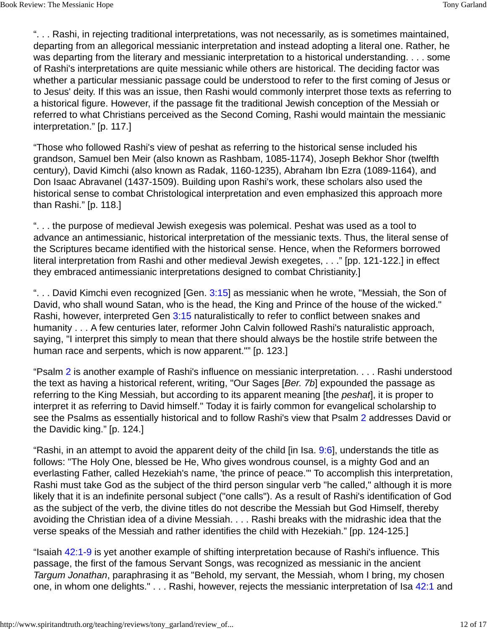". . . Rashi, in rejecting traditional interpretations, was not necessarily, as is sometimes maintained, departing from an allegorical messianic interpretation and instead adopting a literal one. Rather, he was departing from the literary and messianic interpretation to a historical understanding. . . . some of Rashi's interpretations are quite messianic while others are historical. The deciding factor was whether a particular messianic passage could be understood to refer to the first coming of Jesus or to Jesus' deity. If this was an issue, then Rashi would commonly interpret those texts as referring to a historical figure. However, if the passage fit the traditional Jewish conception of the Messiah or referred to what Christians perceived as the Second Coming, Rashi would maintain the messianic interpretation." [p. 117.]

"Those who followed Rashi's view of peshat as referring to the historical sense included his grandson, Samuel ben Meir (also known as Rashbam, 1085-1174), Joseph Bekhor Shor (twelfth century), David Kimchi (also known as Radak, 1160-1235), Abraham Ibn Ezra (1089-1164), and Don Isaac Abravanel (1437-1509). Building upon Rashi's work, these scholars also used the historical sense to combat Christological interpretation and even emphasized this approach more than Rashi." [p. 118.]

". . . the purpose of medieval Jewish exegesis was polemical. Peshat was used as a tool to advance an antimessianic, historical interpretation of the messianic texts. Thus, the literal sense of the Scriptures became identified with the historical sense. Hence, when the Reformers borrowed literal interpretation from Rashi and other medieval Jewish exegetes, . . ." [pp. 121-122.] in effect they embraced antimessianic interpretations designed to combat Christianity.]

"... David Kimchi even recognized [Gen. 3:15] as messianic when he wrote, "Messiah, the Son of David, who shall wound Satan, who is the head, the King and Prince of the house of the wicked." Rashi, however, interpreted Gen 3:15 naturalistically to refer to conflict between snakes and humanity . . . A few centuries later, reformer John Calvin followed Rashi's naturalistic approach, saying, "I interpret this simply to mean that there should always be the hostile strife between the human race and serpents, which is now apparent."" [p. 123.]

"Psalm 2 is another example of Rashi's influence on messianic interpretation. . . . Rashi understood the text as having a historical referent, writing, "Our Sages [Ber. 7b] expounded the passage as referring to the King Messiah, but according to its apparent meaning [the *peshat*], it is proper to interpret it as referring to David himself." Today it is fairly common for evangelical scholarship to see the Psalms as essentially historical and to follow Rashi's view that Psalm 2 addresses David or the Davidic king." [p. 124.]

"Rashi, in an attempt to avoid the apparent deity of the child [in Isa. 9:6], understands the title as follows: "The Holy One, blessed be He, Who gives wondrous counsel, is a mighty God and an everlasting Father, called Hezekiah's name, 'the prince of peace.'" To accomplish this interpretation, Rashi must take God as the subject of the third person singular verb "he called," although it is more likely that it is an indefinite personal subject ("one calls"). As a result of Rashi's identification of God as the subject of the verb, the divine titles do not describe the Messiah but God Himself, thereby avoiding the Christian idea of a divine Messiah. . . . Rashi breaks with the midrashic idea that the verse speaks of the Messiah and rather identifies the child with Hezekiah." [pp. 124-125.]

"Isaiah 42:1-9 is yet another example of shifting interpretation because of Rashi's influence. This passage, the first of the famous Servant Songs, was recognized as messianic in the ancient Targum Jonathan, paraphrasing it as "Behold, my servant, the Messiah, whom I bring, my chosen one, in whom one delights." . . . Rashi, however, rejects the messianic interpretation of Isa 42:1 and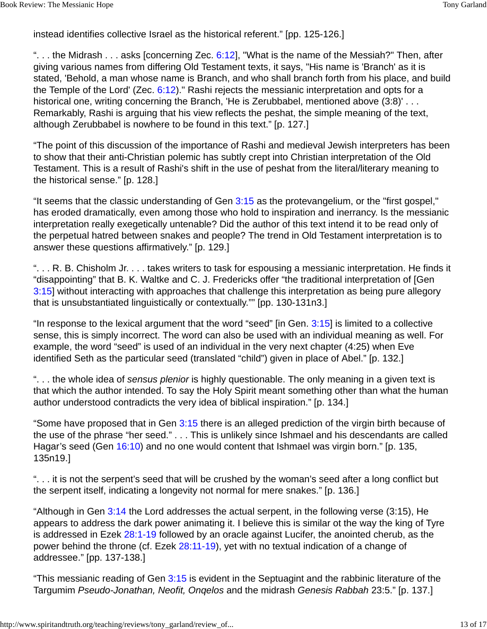instead identifies collective Israel as the historical referent." [pp. 125-126.]

"... the Midrash ... asks [concerning Zec.  $6:12$ ], "What is the name of the Messiah?" Then, after giving various names from differing Old Testament texts, it says, "His name is 'Branch' as it is stated, 'Behold, a man whose name is Branch, and who shall branch forth from his place, and build the Temple of the Lord' (Zec.  $6:12$ )." Rashi rejects the messianic interpretation and opts for a historical one, writing concerning the Branch, 'He is Zerubbabel, mentioned above (3:8)'... Remarkably, Rashi is arguing that his view reflects the peshat, the simple meaning of the text, although Zerubbabel is nowhere to be found in this text." [p. 127.]

"The point of this discussion of the importance of Rashi and medieval Jewish interpreters has been to show that their anti-Christian polemic has subtly crept into Christian interpretation of the Old Testament. This is a result of Rashi's shift in the use of peshat from the literal/literary meaning to the historical sense." [p. 128.]

"It seems that the classic understanding of Gen 3:15 as the protevangelium, or the "first gospel," has eroded dramatically, even among those who hold to inspiration and inerrancy. Is the messianic interpretation really exegetically untenable? Did the author of this text intend it to be read only of the perpetual hatred between snakes and people? The trend in Old Testament interpretation is to answer these questions affirmatively." [p. 129.]

". . . R. B. Chisholm Jr. . . . takes writers to task for espousing a messianic interpretation. He finds it "disappointing" that B. K. Waltke and C. J. Fredericks offer "the traditional interpretation of [Gen 3:15] without interacting with approaches that challenge this interpretation as being pure allegory that is unsubstantiated linguistically or contextually."" [pp. 130-131n3.]

"In response to the lexical argument that the word "seed" [in Gen.  $3:15$ ] is limited to a collective sense, this is simply incorrect. The word can also be used with an individual meaning as well. For example, the word "seed" is used of an individual in the very next chapter (4:25) when Eve identified Seth as the particular seed (translated "child") given in place of Abel." [p. 132.]

"... the whole idea of sensus plenior is highly questionable. The only meaning in a given text is that which the author intended. To say the Holy Spirit meant something other than what the human author understood contradicts the very idea of biblical inspiration." [p. 134.]

"Some have proposed that in Gen 3:15 there is an alleged prediction of the virgin birth because of the use of the phrase "her seed." . . . This is unlikely since Ishmael and his descendants are called Hagar's seed (Gen 16:10) and no one would content that Ishmael was virgin born." [p. 135, 135n19.]

". . . it is not the serpent's seed that will be crushed by the woman's seed after a long conflict but the serpent itself, indicating a longevity not normal for mere snakes." [p. 136.]

"Although in Gen 3:14 the Lord addresses the actual serpent, in the following verse (3:15), He appears to address the dark power animating it. I believe this is similar ot the way the king of Tyre is addressed in Ezek 28:1-19 followed by an oracle against Lucifer, the anointed cherub, as the power behind the throne (cf. Ezek 28:11-19), yet with no textual indication of a change of addressee." [pp. 137-138.]

"This messianic reading of Gen 3:15 is evident in the Septuagint and the rabbinic literature of the Targumim Pseudo-Jonathan, Neofit, Onqelos and the midrash Genesis Rabbah 23:5." [p. 137.]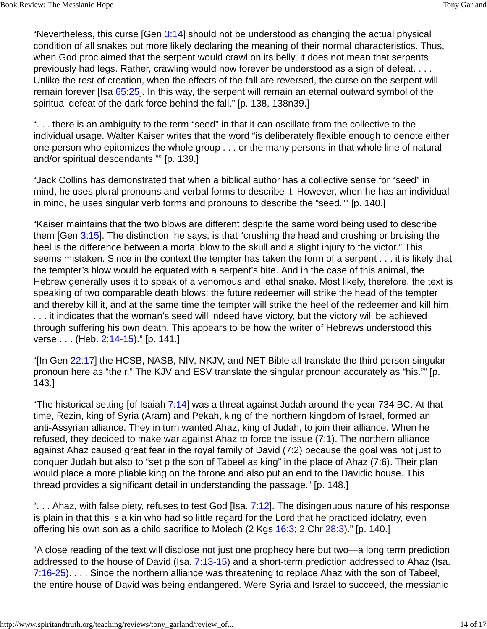"Nevertheless, this curse [Gen  $3:14$ ] should not be understood as changing the actual physical condition of all snakes but more likely declaring the meaning of their normal characteristics. Thus, when God proclaimed that the serpent would crawl on its belly, it does not mean that serpents previously had legs. Rather, crawling would now forever be understood as a sign of defeat. . . . Unlike the rest of creation, when the effects of the fall are reversed, the curse on the serpent will remain forever [Isa 65:25]. In this way, the serpent will remain an eternal outward symbol of the spiritual defeat of the dark force behind the fall." [p. 138, 138n39.]

". . . there is an ambiguity to the term "seed" in that it can oscillate from the collective to the individual usage. Walter Kaiser writes that the word "is deliberately flexible enough to denote either one person who epitomizes the whole group . . . or the many persons in that whole line of natural and/or spiritual descendants."" [p. 139.]

"Jack Collins has demonstrated that when a biblical author has a collective sense for "seed" in mind, he uses plural pronouns and verbal forms to describe it. However, when he has an individual in mind, he uses singular verb forms and pronouns to describe the "seed."" [p. 140.]

"Kaiser maintains that the two blows are different despite the same word being used to describe them [Gen 3:15]. The distinction, he says, is that "crushing the head and crushing or bruising the heel is the difference between a mortal blow to the skull and a slight injury to the victor." This seems mistaken. Since in the context the tempter has taken the form of a serpent . . . it is likely that the tempter's blow would be equated with a serpent's bite. And in the case of this animal, the Hebrew generally uses it to speak of a venomous and lethal snake. Most likely, therefore, the text is speaking of two comparable death blows: the future redeemer will strike the head of the tempter and thereby kill it, and at the same time the tempter will strike the heel of the redeemer and kill him. . . . it indicates that the woman's seed will indeed have victory, but the victory will be achieved through suffering his own death. This appears to be how the writer of Hebrews understood this verse . . . (Heb. 2:14-15)." [p. 141.]

"[In Gen 22:17] the HCSB, NASB, NIV, NKJV, and NET Bible all translate the third person singular pronoun here as "their." The KJV and ESV translate the singular pronoun accurately as "his."" [p. 143.]

"The historical setting [of Isaiah 7:14] was a threat against Judah around the year 734 BC. At that time, Rezin, king of Syria (Aram) and Pekah, king of the northern kingdom of Israel, formed an anti-Assyrian alliance. They in turn wanted Ahaz, king of Judah, to join their alliance. When he refused, they decided to make war against Ahaz to force the issue (7:1). The northern alliance against Ahaz caused great fear in the royal family of David (7:2) because the goal was not just to conquer Judah but also to "set p the son of Tabeel as king" in the place of Ahaz (7:6). Their plan would place a more pliable king on the throne and also put an end to the Davidic house. This thread provides a significant detail in understanding the passage." [p. 148.]

"... Ahaz, with false piety, refuses to test God [Isa. 7:12]. The disingenuous nature of his response is plain in that this is a kin who had so little regard for the Lord that he practiced idolatry, even offering his own son as a child sacrifice to Molech (2 Kgs 16:3; 2 Chr 28:3)." [p. 140.]

"A close reading of the text will disclose not just one prophecy here but two—a long term prediction addressed to the house of David (Isa. 7:13-15) and a short-term prediction addressed to Ahaz (Isa. 7:16-25). . . . Since the northern alliance was threatening to replace Ahaz with the son of Tabeel, the entire house of David was being endangered. Were Syria and Israel to succeed, the messianic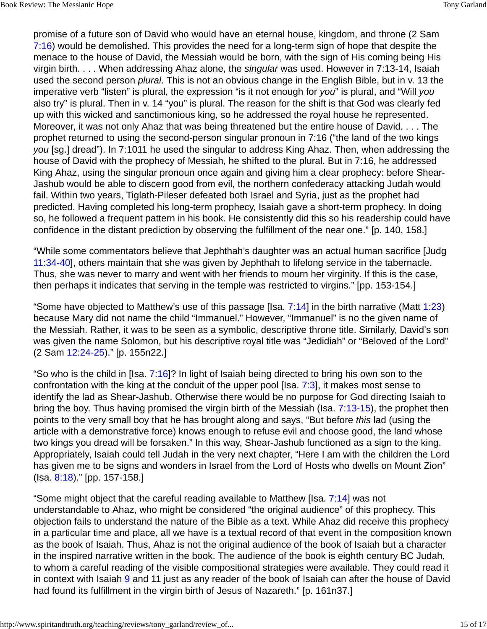promise of a future son of David who would have an eternal house, kingdom, and throne (2 Sam 7:16) would be demolished. This provides the need for a long-term sign of hope that despite the menace to the house of David, the Messiah would be born, with the sign of His coming being His virgin birth. . . . When addressing Ahaz alone, the *singular* was used. However in 7:13-14, Isaiah used the second person *plural*. This is not an obvious change in the English Bible, but in v. 13 the imperative verb "listen" is plural, the expression "is it not enough for you" is plural, and "Will you also try" is plural. Then in v. 14 "you" is plural. The reason for the shift is that God was clearly fed up with this wicked and sanctimonious king, so he addressed the royal house he represented. Moreover, it was not only Ahaz that was being threatened but the entire house of David. . . . The prophet returned to using the second-person singular pronoun in 7:16 ("the land of the two kings you [sg.] dread"). In 7:1011 he used the singular to address King Ahaz. Then, when addressing the house of David with the prophecy of Messiah, he shifted to the plural. But in 7:16, he addressed King Ahaz, using the singular pronoun once again and giving him a clear prophecy: before Shear-Jashub would be able to discern good from evil, the northern confederacy attacking Judah would fail. Within two years, Tiglath-Pileser defeated both Israel and Syria, just as the prophet had predicted. Having completed his long-term prophecy, Isaiah gave a short-term prophecy. In doing so, he followed a frequent pattern in his book. He consistently did this so his readership could have confidence in the distant prediction by observing the fulfillment of the near one." [p. 140, 158.]

"While some commentators believe that Jephthah's daughter was an actual human sacrifice [Judg 11:34-40], others maintain that she was given by Jephthah to lifelong service in the tabernacle. Thus, she was never to marry and went with her friends to mourn her virginity. If this is the case, then perhaps it indicates that serving in the temple was restricted to virgins." [pp. 153-154.]

"Some have objected to Matthew's use of this passage [Isa.  $7:14$ ] in the birth narrative (Matt 1:23) because Mary did not name the child "Immanuel." However, "Immanuel" is no the given name of the Messiah. Rather, it was to be seen as a symbolic, descriptive throne title. Similarly, David's son was given the name Solomon, but his descriptive royal title was "Jedidiah" or "Beloved of the Lord" (2 Sam 12:24-25)." [p. 155n22.]

"So who is the child in [Isa. 7:16]? In light of Isaiah being directed to bring his own son to the confrontation with the king at the conduit of the upper pool [Isa. 7:3], it makes most sense to identify the lad as Shear-Jashub. Otherwise there would be no purpose for God directing Isaiah to bring the boy. Thus having promised the virgin birth of the Messiah (Isa. 7:13-15), the prophet then points to the very small boy that he has brought along and says, "But before this lad (using the article with a demonstrative force) knows enough to refuse evil and choose good, the land whose two kings you dread will be forsaken." In this way, Shear-Jashub functioned as a sign to the king. Appropriately, Isaiah could tell Judah in the very next chapter, "Here I am with the children the Lord has given me to be signs and wonders in Israel from the Lord of Hosts who dwells on Mount Zion" (Isa. 8:18)." [pp. 157-158.]

"Some might object that the careful reading available to Matthew [Isa. 7:14] was not understandable to Ahaz, who might be considered "the original audience" of this prophecy. This objection fails to understand the nature of the Bible as a text. While Ahaz did receive this prophecy in a particular time and place, all we have is a textual record of that event in the composition known as the book of Isaiah. Thus, Ahaz is not the original audience of the book of Isaiah but a character in the inspired narrative written in the book. The audience of the book is eighth century BC Judah, to whom a careful reading of the visible compositional strategies were available. They could read it in context with Isaiah 9 and 11 just as any reader of the book of Isaiah can after the house of David had found its fulfillment in the virgin birth of Jesus of Nazareth." [p. 161n37.]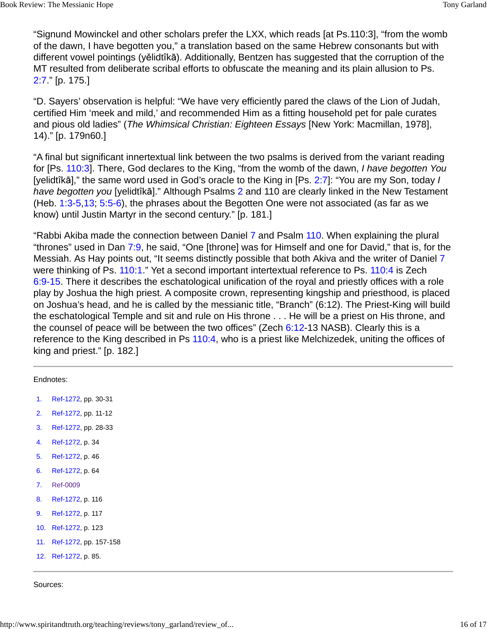"Signund Mowinckel and other scholars prefer the LXX, which reads [at Ps.110:3], "from the womb of the dawn, I have begotten you," a translation based on the same Hebrew consonants but with different vowel pointings (yělidtîkā). Additionally, Bentzen has suggested that the corruption of the MT resulted from deliberate scribal efforts to obfuscate the meaning and its plain allusion to Ps. 2:7." [p. 175.]

"D. Sayers' observation is helpful: "We have very efficiently pared the claws of the Lion of Judah, certified Him 'meek and mild,' and recommended Him as a fitting household pet for pale curates and pious old ladies" (The Whimsical Christian: Eighteen Essays [New York: Macmillan, 1978], 14)." [p. 179n60.]

"A final but significant innertextual link between the two psalms is derived from the variant reading for [Ps. 110:3]. There, God declares to the King, "from the womb of the dawn, I have begotten You [yelidtîkā]," the same word used in God's oracle to the King in [Ps. 2:7]: "You are my Son, today I have begotten you [yelidtîkā]." Although Psalms 2 and 110 are clearly linked in the New Testament (Heb. 1:3-5,13; 5:5-6), the phrases about the Begotten One were not associated (as far as we know) until Justin Martyr in the second century." [p. 181.]

"Rabbi Akiba made the connection between Daniel 7 and Psalm 110. When explaining the plural "thrones" used in Dan 7:9, he said, "One [throne] was for Himself and one for David," that is, for the Messiah. As Hay points out, "It seems distinctly possible that both Akiva and the writer of Daniel 7 were thinking of Ps. 110:1." Yet a second important intertextual reference to Ps. 110:4 is Zech 6:9-15. There it describes the eschatological unification of the royal and priestly offices with a role play by Joshua the high priest. A composite crown, representing kingship and priesthood, is placed on Joshua's head, and he is called by the messianic title, "Branch" (6:12). The Priest-King will build the eschatological Temple and sit and rule on His throne . . . He will be a priest on His throne, and the counsel of peace will be between the two offices" (Zech  $6:12-13$  NASB). Clearly this is a reference to the King described in Ps 110:4, who is a priest like Melchizedek, uniting the offices of king and priest." [p. 182.]

| Endnotes: |  |
|-----------|--|

- 1. Ref-1272, pp. 30-31
- 2. Ref-1272, pp. 11-12
- 3. Ref-1272, pp. 28-33
- 4. Ref-1272, p. 34
- 5. Ref-1272, p. 46
- 6. Ref-1272, p. 64
- 7. Ref-0009
- 8. Ref-1272, p. 116
- 9. Ref-1272, p. 117
- 10. Ref-1272, p. 123
- 11. Ref-1272, pp. 157-158
- 12. Ref-1272, p. 85.

Sources: